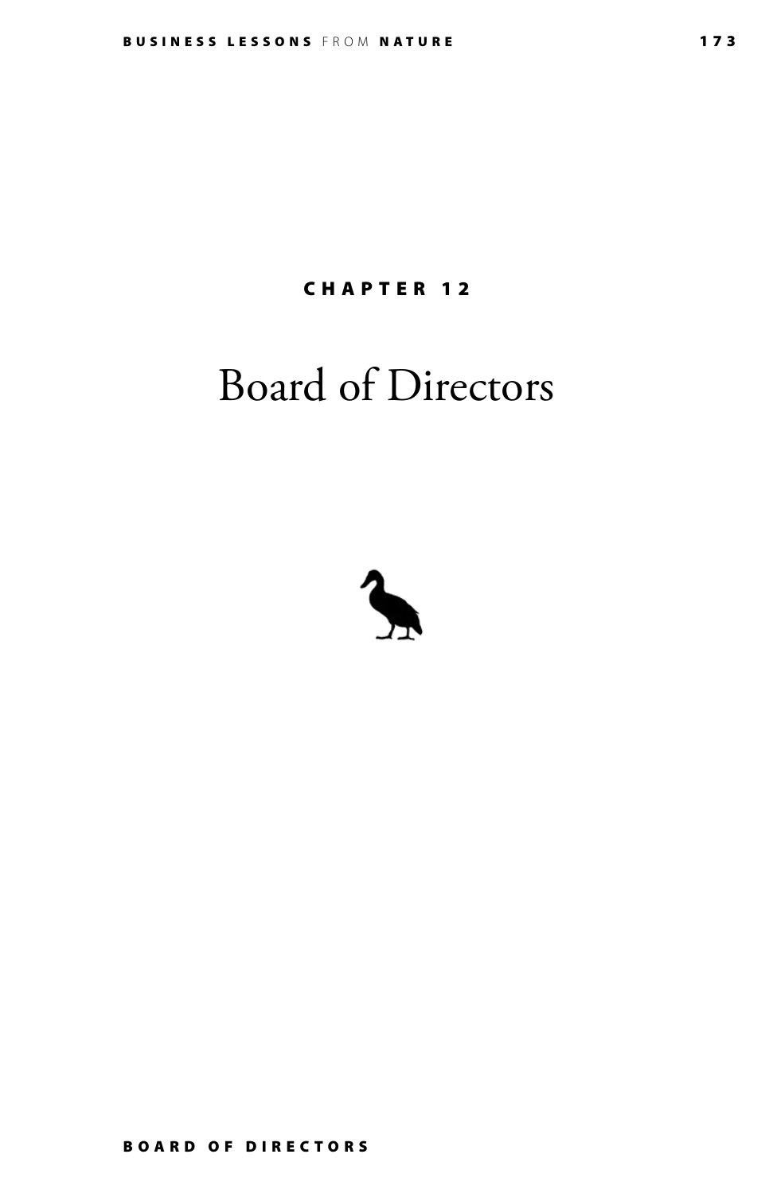## C H A P T E R 1 2

## Board of Directors

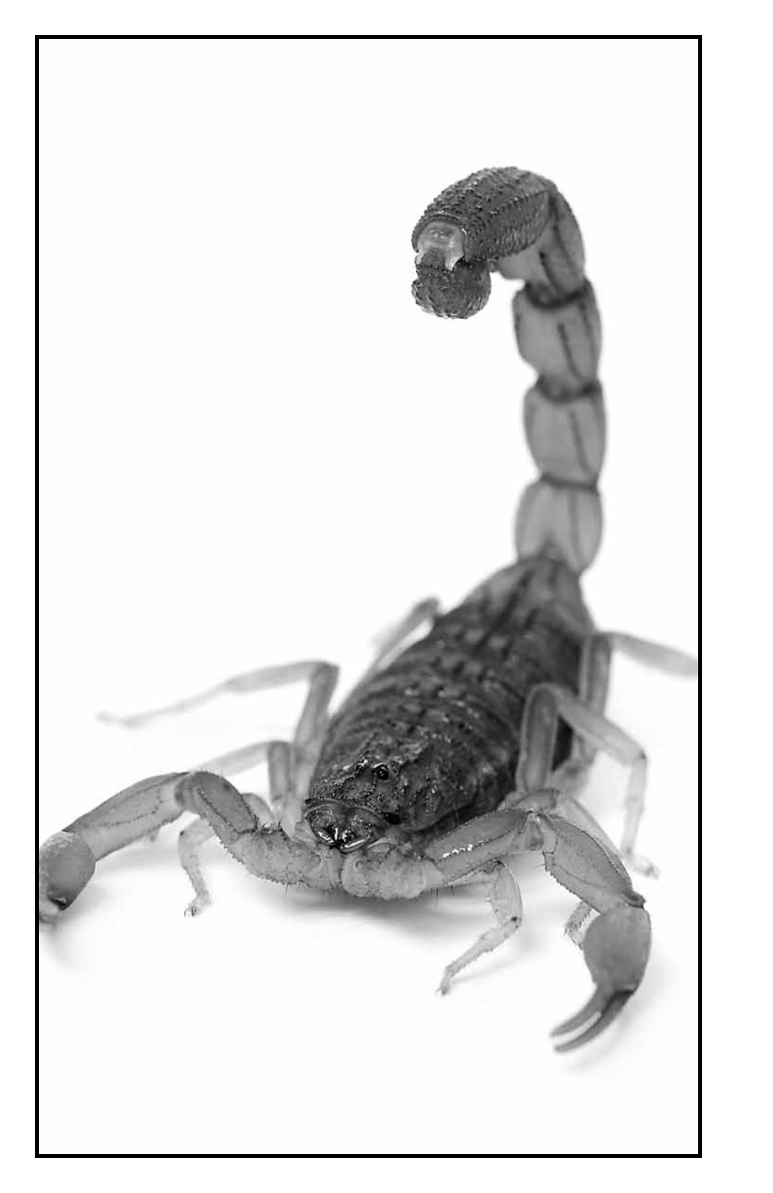